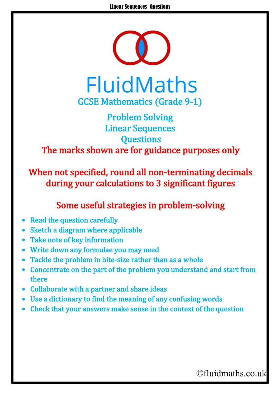

## Problem Solving Linear Sequences **Questions** The marks shown are for guidance purposes only

When not specified, round all non-terminating decimals during your calculations to 3 significant figures

## Some useful strategies in problem-solving

- **Read the question carefully**
- Sketch a diagram where applicable
- Take note of key information
- Write down any formulae you may need
- Tackle the problem in bite-size rather than as a whole
- Concentrate on the part of the problem you understand and start from there
- Collaborate with a partner and share ideas
- Use a dictionary to find the meaning of any confusing words
- Check that your answers make sense in the context of the question

## ©fluidmaths.co.uk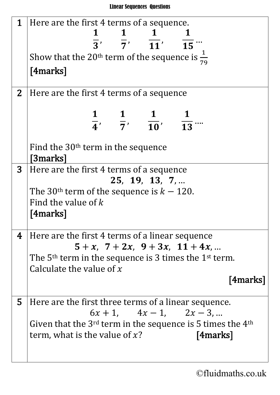| $\mathbf 1$    | Here are the first 4 terms of a sequence.                                     |  |  |
|----------------|-------------------------------------------------------------------------------|--|--|
|                |                                                                               |  |  |
|                | $\overline{3}'$ $\overline{7}'$ $\overline{11}'$ $\overline{15}$ "            |  |  |
|                | Show that the 20 <sup>th</sup> term of the sequence is $\frac{1}{79}$         |  |  |
|                | [4marks]                                                                      |  |  |
|                |                                                                               |  |  |
| 2 <sub>1</sub> | Here are the first 4 terms of a sequence                                      |  |  |
|                |                                                                               |  |  |
|                | $\frac{1}{4}$ , $\frac{1}{7}$ , $\frac{1}{10}$ , $\frac{1}{13}$               |  |  |
|                |                                                                               |  |  |
|                | Find the $30th$ term in the sequence                                          |  |  |
|                | <b>[3marks]</b>                                                               |  |  |
| 3 <sup>1</sup> | Here are the first 4 terms of a sequence                                      |  |  |
|                | 25, 19, 13, 7,                                                                |  |  |
|                | The 30 <sup>th</sup> term of the sequence is $k - 120$ .                      |  |  |
|                | Find the value of $k$                                                         |  |  |
|                | $[4$ marks $]$                                                                |  |  |
|                |                                                                               |  |  |
| 4              | Here are the first 4 terms of a linear sequence                               |  |  |
|                | $5 + x$ , $7 + 2x$ , $9 + 3x$ , $11 + 4x$ ,                                   |  |  |
|                | The 5 <sup>th</sup> term in the sequence is 3 times the 1 <sup>st</sup> term. |  |  |
|                | Calculate the value of $x$                                                    |  |  |
|                | [4marks]                                                                      |  |  |
| 5              | Here are the first three terms of a linear sequence.                          |  |  |
|                | $6x + 1$ , $4x - 1$ , $2x - 3$ ,                                              |  |  |
|                | Given that the $3^{rd}$ term in the sequence is 5 times the $4^{th}$          |  |  |
|                | term, what is the value of $x$ ?<br>[4marks]                                  |  |  |
|                |                                                                               |  |  |
|                |                                                                               |  |  |